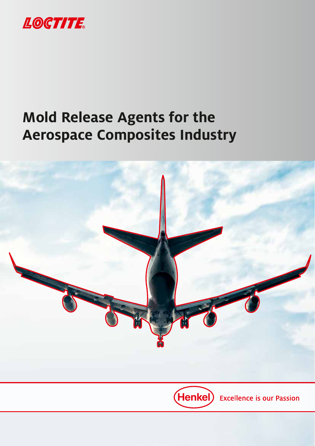

# **Mold Release Agents for the Aerospace Composites Industry**

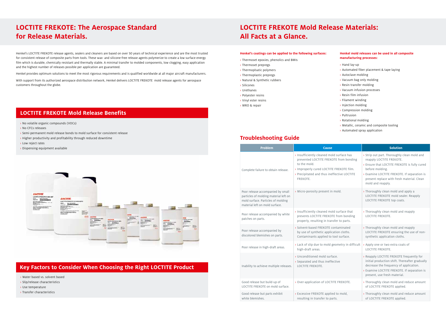- › No volatile organic compounds (VOCs)
- › No CFCs releases
- › Semi-permanent mold release bonds to mold surface for consistent release
- › Higher productivity and profitability through reduced downtime
- › Low reject rates
- › Dispensing equipment available



### **LOCTITE FREKOTE Mold Release Benefits**

Henkel's LOCTITE FREKOTE release agents, sealers and cleaners are based on over 50 years of technical experience and are the most trusted for consistent release of composite parts from tools. These wax- and silicone-free release agents polymerize to create a low surface energy film which is durable, chemically resistant and thermally stable. A minimal transfer to molded components, low clogging, easy application and the highest number of releases possible per application are guaranteed.

Henkel provides optimum solutions to meet the most rigorous requirements and is qualified worldwide at all major aircraft manufacturers.

With support from its authorized aerospace distribution network, Henkel delivers LOCTITE FREKOTE mold release agents for aerospace customers throughout the globe.

### **LOCTITE FREKOTE: The Aerospace Standard for Release Materials.**

- › Water based vs. solvent based
- › Slip/release characteristics
- › Use temperature
- › Transfer characteristics

### **Key Factors to Consider When Choosing the Right LOCTITE Product**

### **LOCTITE FREKOTE Mold Release Materials: All Facts at a Glance.**

#### **Troubleshooting Guide**

#### **Henkel's coatings can be applied to the following surfaces:**

- › Thermoset epoxies, phenolics and BMIs
- › Thermoset prepregs
- › Thermoplsatic polymers
- › Thermoplastic prepregs
- › Natural & Synthetic rubbers
- › Silicones
- › Urethanes
- › Polyester resins
- › Vinyl ester resins
- › MRO & repair

#### **Henkel mold releases can be used in all composite manufacturing processes:**

- › Hand lay-up
- › Automated fiber placement & tape laying
- › Autoclave molding
- › Vacuum bag only molding
- › Resin transfer molding
- › Vacuum infusion processes
- › Resin film infusion
- › Filament winding
- › Injection molding
- › Compression molding
- › Pultrusion
- › Rotational molding
- › Metallic, ceramic and composite tooling
- › Automated spray application

| <b>Problem</b>                                                                                                                                     | <b>Cause</b>                                                                                                                                                                                               | <b>Solution</b>                                                                                                                                                                                                                                              |  |  |
|----------------------------------------------------------------------------------------------------------------------------------------------------|------------------------------------------------------------------------------------------------------------------------------------------------------------------------------------------------------------|--------------------------------------------------------------------------------------------------------------------------------------------------------------------------------------------------------------------------------------------------------------|--|--|
| Complete failure to obtain release.                                                                                                                | > Insufficiently cleaned mold surface has<br>prevented LOCTITE FREKOTE from bonding<br>to the mold.<br>> Improperly cured LOCTITE FREKOTE film.<br>> Precipitated and thus ineffective LOCTITE<br>FREKOTE. | > Strip out part. Thoroughly clean mold and<br>reapply LOCTITE FREKOTE.<br>> Ensure that LOCTITE FREKOTE is fully cured<br>before molding.<br>> Examine LOCTITE FREKOTE. If separation is<br>present replace with fresh material. Clean<br>mold and reapply. |  |  |
| Poor release accompanied by small<br>particles of molding material left on<br>mold surface. Particles of molding<br>material left on mold surface. | > Micro-porosity present in mold.                                                                                                                                                                          | > Thoroughly clean mold and apply a<br>LOCTITE FREKOTE mold sealer. Reapply<br>LOCTITE FREKOTE top coats.                                                                                                                                                    |  |  |
| Poor release accompanied by white<br>patches on parts.                                                                                             | > Insufficiently cleaned mold surface that<br>prevents LOCTITE FREKOTE from bonding<br>properly, resulting in transfer to parts.                                                                           | > Thoroughly clean mold and reapply<br><b>LOCTITE FREKOTE.</b>                                                                                                                                                                                               |  |  |
| Poor release accompanied by<br>discolored blemishes on parts.                                                                                      | > Solvent-based FREKOTE contaminated<br>by use of synthetic application cloths.<br>Contaminants applied to tool surface.                                                                                   | > Thoroughly clean mold and reapply<br>LOCTITE FREKOTE ensuring the use of non-<br>synthetic application cloths.                                                                                                                                             |  |  |
| Poor release in high-draft areas.                                                                                                                  | > Lack of slip due to mold geometry in difficult<br>high-draft areas.                                                                                                                                      | > Apply one or two extra coats of<br><b>LOCTITE FREKOTE.</b>                                                                                                                                                                                                 |  |  |
| Inability to achieve multiple releases.                                                                                                            | > Unconditioned mold surface.<br>> Separated and thus ineffective<br>LOCTITE FREKOTE.                                                                                                                      | > Reapply LOCTITE FREKOTE frequently for<br>initial production shift. Thereafter gradually<br>decrease the frequency of application.<br>> Examine LOCTITE FREKOTE. If separation is<br>present, use fresh material.                                          |  |  |
| Good release but build-up of<br>LOCTITE FREKOTE on mold surface.                                                                                   | > Over-application of LOCTITE FREKOTE.                                                                                                                                                                     | > Thoroughly clean mold and reduce amount<br>of LOCTITE FREKOTE applied.                                                                                                                                                                                     |  |  |
| Good release but parts exhibit<br>white blemishes.                                                                                                 | > Excessive FREKOTE applied to mold,<br>resulting in transfer to parts.                                                                                                                                    | > Thoroughly clean mold and reduce amount<br>of LOCTITE FREKOTE applied.                                                                                                                                                                                     |  |  |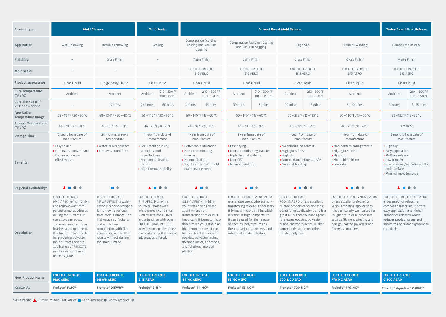100 – 150 °C

#### 9 months from date of manufacture

- **>** High slip
- **>** Easy application
- **>** Multiple releases
- **>** Low transfer
- **>** No corrosion/oxidation of the mold surface
- **>** Minimal mold build-up



#### **LOCE FREKOTE 770-NC AERO**

| <b>Product type</b>                                   | <b>Mold Cleaner</b>                                                                                                                                                                                                                                                                                                                                                 |                                                                                                                                                                                                                                                                              | <b>Mold Sealer</b>                                                                                                                                                                                                                                                |                                                                                                                                                                                                                                                                                                                                                           |                                                                                                                                                                                                                                                                                                              | <b>Solvent Based Mold Release</b>                                                                                                                                                                                                                                               |                                                                                                                                                                                                                                                                  | <b>Water-Based Mold Release</b>                                                                                                                                                                                                          |
|-------------------------------------------------------|---------------------------------------------------------------------------------------------------------------------------------------------------------------------------------------------------------------------------------------------------------------------------------------------------------------------------------------------------------------------|------------------------------------------------------------------------------------------------------------------------------------------------------------------------------------------------------------------------------------------------------------------------------|-------------------------------------------------------------------------------------------------------------------------------------------------------------------------------------------------------------------------------------------------------------------|-----------------------------------------------------------------------------------------------------------------------------------------------------------------------------------------------------------------------------------------------------------------------------------------------------------------------------------------------------------|--------------------------------------------------------------------------------------------------------------------------------------------------------------------------------------------------------------------------------------------------------------------------------------------------------------|---------------------------------------------------------------------------------------------------------------------------------------------------------------------------------------------------------------------------------------------------------------------------------|------------------------------------------------------------------------------------------------------------------------------------------------------------------------------------------------------------------------------------------------------------------|------------------------------------------------------------------------------------------------------------------------------------------------------------------------------------------------------------------------------------------|
| <b>Application</b>                                    | Wax Removing                                                                                                                                                                                                                                                                                                                                                        | Residue removing                                                                                                                                                                                                                                                             | Sealing                                                                                                                                                                                                                                                           | Compression Molding,<br>Casting and Vacuum<br>bagging                                                                                                                                                                                                                                                                                                     | Compression Molding, Casting<br>and Vacuum bagging                                                                                                                                                                                                                                                           | High Slip                                                                                                                                                                                                                                                                       | Filament Winding                                                                                                                                                                                                                                                 | Composites Release                                                                                                                                                                                                                       |
| <b>Finishing</b>                                      |                                                                                                                                                                                                                                                                                                                                                                     | Gloss Finish                                                                                                                                                                                                                                                                 |                                                                                                                                                                                                                                                                   | Matte Finish                                                                                                                                                                                                                                                                                                                                              | Satin Finish                                                                                                                                                                                                                                                                                                 | Gloss Finish                                                                                                                                                                                                                                                                    | Gloss Finish                                                                                                                                                                                                                                                     | Matte Finish                                                                                                                                                                                                                             |
| <b>Mold sealer</b>                                    |                                                                                                                                                                                                                                                                                                                                                                     |                                                                                                                                                                                                                                                                              |                                                                                                                                                                                                                                                                   | <b>LOCTITE FREKOTE</b><br>B15 AERO                                                                                                                                                                                                                                                                                                                        | <b>LOCTITE FREKOTE</b><br>B15 AERO                                                                                                                                                                                                                                                                           | <b>LOCTITE FREKOTE</b><br><b>B15 AERO</b>                                                                                                                                                                                                                                       | <b>LOCTITE FREKOTE</b><br><b>B15 AERO</b>                                                                                                                                                                                                                        | <b>LOCTITE FREKOTE</b><br>B15 AERO                                                                                                                                                                                                       |
| <b>Product appearance</b>                             | Clear Liquid                                                                                                                                                                                                                                                                                                                                                        | Beige-pasty Liquid                                                                                                                                                                                                                                                           | Clear Liquid                                                                                                                                                                                                                                                      | Clear Liquid                                                                                                                                                                                                                                                                                                                                              | Clear Liquid                                                                                                                                                                                                                                                                                                 | Clear Liquid                                                                                                                                                                                                                                                                    | Clear Liquid                                                                                                                                                                                                                                                     | Clear Liquid                                                                                                                                                                                                                             |
| <b>Cure Temperature</b><br>$(^{\circ}F/^{\circ}C)$    | Ambient                                                                                                                                                                                                                                                                                                                                                             | Ambient                                                                                                                                                                                                                                                                      | $210 - 300$ °F<br>Ambient<br>$100 - 150 °C$                                                                                                                                                                                                                       | $210 - 300$ °F<br>Ambient<br>$100 - 150 °C$                                                                                                                                                                                                                                                                                                               | $210 - 300$ °F<br>Ambient<br>$100 - 150 °C$                                                                                                                                                                                                                                                                  | $210 - 300$ °F<br>Ambient<br>$100 - 150 °C$                                                                                                                                                                                                                                     | Ambient                                                                                                                                                                                                                                                          | $210 - 300$ °F<br>Ambient<br>$100 - 150 °C$                                                                                                                                                                                              |
| Cure Time at RT/<br>at 210 °F - 100 °C                |                                                                                                                                                                                                                                                                                                                                                                     | 5 mins                                                                                                                                                                                                                                                                       | 60 mins<br>24 hours                                                                                                                                                                                                                                               | 3 hours<br>15 mins                                                                                                                                                                                                                                                                                                                                        | 5 mins<br>30 mins                                                                                                                                                                                                                                                                                            | 5 mins<br>10 mins                                                                                                                                                                                                                                                               | $5 - 10$ mins                                                                                                                                                                                                                                                    | 3 hours<br>$5 - 15$ mins                                                                                                                                                                                                                 |
| <b>Application</b><br><b>Temperature Range</b>        | $68 - 86$ °F/20 – 30 °C                                                                                                                                                                                                                                                                                                                                             | $68 - 104 °F / 20 - 40 °C$                                                                                                                                                                                                                                                   | $68 - 140$ °F / 20 – 60 °C                                                                                                                                                                                                                                        | $60 - 140$ °F / 15 – 60 °C                                                                                                                                                                                                                                                                                                                                | $60 - 140$ °F / 15 – 60 °C                                                                                                                                                                                                                                                                                   | $60 - 275$ °F / 15 – 135 °C                                                                                                                                                                                                                                                     | $60 - 140$ °F / 15 – 60 °C                                                                                                                                                                                                                                       | $59 - 122$ °F / 15 – 50 °C                                                                                                                                                                                                               |
| <b>Storage Temperature</b><br>$(^{\circ}F/^{\circ}C)$ | $46 - 70$ °F / 8 - 21 °C                                                                                                                                                                                                                                                                                                                                            | $46 - 70$ °F / 8 – 21 °C                                                                                                                                                                                                                                                     | $46 - 70$ °F / 8 – 21 °C                                                                                                                                                                                                                                          | $46 - 70$ °F / 8 – 21 °C                                                                                                                                                                                                                                                                                                                                  | $46 - 70$ °F / 8 – 21 °C                                                                                                                                                                                                                                                                                     | $46 - 70$ °F / 8 - 21 °C                                                                                                                                                                                                                                                        | $46 - 70$ °F / 8 – 21 °C                                                                                                                                                                                                                                         | Ambient                                                                                                                                                                                                                                  |
| <b>Storage Time</b>                                   | 2 years from date of<br>manufacture                                                                                                                                                                                                                                                                                                                                 | 24 months at room<br>temperature                                                                                                                                                                                                                                             | 1 year from date of<br>manufacture                                                                                                                                                                                                                                | 1 year from date of<br>manufacture                                                                                                                                                                                                                                                                                                                        | 1 year from date of<br>manufacture                                                                                                                                                                                                                                                                           | 1 year from date of<br>manufacture                                                                                                                                                                                                                                              | 1 year from date of<br>manufacture                                                                                                                                                                                                                               | 9 months from date of<br>manufacture                                                                                                                                                                                                     |
| <b>Benefits</b>                                       | > Easy to use<br>$\rightarrow$ Eliminates contaminants<br>> Enhances release<br>effectivness                                                                                                                                                                                                                                                                        | > Water-based polisher<br>> Removes cured films                                                                                                                                                                                                                              | > Seals mold porosity,<br>scratches, and<br>imperfections<br>> Non-contaminating<br>transfer<br>> High thermal stability                                                                                                                                          | > Better mold utilization<br>> Non-contaminating<br>transfer<br>No mold build-up<br>> Significantly lower mold<br>maintenance costs                                                                                                                                                                                                                       | > Fast drying<br>> Non-contaminating transfer<br>> High thermal stability<br>$\rightarrow$ Non-CFC<br>No mold build-up                                                                                                                                                                                       | > No chlorinated solvents<br>> High gloss finish<br>$\rightarrow$ High slip<br>> Non-contaminating transfer<br>No mold build-up                                                                                                                                                 | > Non-contaminating transfer<br>> High gloss finish<br>$\rightarrow$ High slip<br>> No mold build-up<br>> Low odor                                                                                                                                               | $\rightarrow$ High slip<br>> Easy application<br>> Multiple releases<br>> Low transfer<br>> No corrosion / oxidation of the<br>mold surface<br>> Minimal mold build-up                                                                   |
| Regional availability*                                | $\blacktriangle \blacksquare \blacklozenge \blacklozenge$                                                                                                                                                                                                                                                                                                           | ▉♦                                                                                                                                                                                                                                                                           | A II O                                                                                                                                                                                                                                                            | ▲■◆                                                                                                                                                                                                                                                                                                                                                       | $\blacktriangle \blacksquare$                                                                                                                                                                                                                                                                                | $\blacktriangle \blacksquare \blacklozenge \blacklozenge$                                                                                                                                                                                                                       | $\bullet$<br>A III                                                                                                                                                                                                                                               | <b>ANG</b>                                                                                                                                                                                                                               |
| <b>Description</b>                                    | <b>LOCTITE FREKOTE</b><br>PMC AERO helps dissolve<br>and remove wax from<br>polyester molds without<br>dulling the surfaces. It<br>can also clean epoxy<br>and metal mold surface,<br>brushes and equipment.<br>It is highly recommended<br>for preparing polyester<br>mold surfaces prior to<br>application of FREKOTE<br>mold sealers and mold<br>release agents. | LOCTITE FREKOTE<br>915WB AERO is a water-<br>based cleaner developed<br>for removing residue<br>from mold surfaces. The<br>high-grade surfactants<br>and emulsifiers in<br>combination with fine<br>abrasives give excellent<br>results without dulling<br>the mold surface. | LOCTITE FREKOTE<br>B-15 AERO is a sealer<br>for metal molds with<br>micro porosity and small<br>surface scratches. Used<br>in conjunction with other<br>FREKOTE products, B-15<br>provides an excellent base<br>coat enhancing the release<br>advantages offered. | <b>LOCTITE FREKOTE</b><br>44-NC AERO should be<br>your first choice release<br>agent where non-<br>transference of release is<br>important. It forms a micro<br>thin film which is stable at<br>high temperatures. It can<br>be used for the release of<br>epoxies, polyester resins,<br>thermoplastics, adhesives,<br>and rotational molded<br>plastics. | LOCTITE FREKOTE 55-NC AERO<br>is a release agent where a non-<br>transferring release is necessary<br>It forms a micro thin film which<br>is stable at high temperature.<br>It can be used for the release<br>of epoxies, polyester resins,<br>thermoplastics, adhesives, and<br>rotational molded plastics. | LOCTITE FREKOTE<br>700-NC AERO offers excellent<br>release properties for the most<br>demanding applications and is a<br>great all-purpose release agent.<br>It releases epoxies, polyester<br>resins, thermosplactics, rubber<br>compounds, and most other<br>molded polymers. | <b>LOCTITE FREKOTE 770-NC AERO</b><br>offers excellent release for<br>various molding applications.<br>It is particularly well-suited for<br>tougher to release processes<br>such as filament winding and<br>non-gel-coated polyester and<br>fiberglass molding. | <b>LOCTITE FREKOTE C-800 AERO</b><br>is designed for releasing<br>composite materials. It offers<br>easy application and higher<br>number of releases which<br>reduces product usage and<br>minimizes operator exposure to<br>chemicals. |
| <b>New Product Name</b>                               | <b>LOCTITE FREKOTE</b><br><b>PMC AERO</b>                                                                                                                                                                                                                                                                                                                           | <b>LOCTITE FREKOTE</b><br>915WB AERO                                                                                                                                                                                                                                         | <b>LOCTITE FREKOTE</b><br><b>B-15 AERO</b>                                                                                                                                                                                                                        | <b>LOCTITE FREKOTE</b><br><b>44-NC AERO</b>                                                                                                                                                                                                                                                                                                               | <b>LOCTITE FREKOTE</b><br><b>55-NC AERO</b>                                                                                                                                                                                                                                                                  | <b>LOCTITE FREKOTE</b><br>700-NC AERO                                                                                                                                                                                                                                           | <b>LOCTITE FREKOTE</b><br>770-NC AERO                                                                                                                                                                                                                            | <b>LOCTITE FREKOTE</b><br><b>C-800 AERO</b>                                                                                                                                                                                              |
| <b>Known As</b>                                       | Frekote® PMC™                                                                                                                                                                                                                                                                                                                                                       | Frekote® 915WB™                                                                                                                                                                                                                                                              | Frekote® B-15™                                                                                                                                                                                                                                                    | Frekote® 44-NC™                                                                                                                                                                                                                                                                                                                                           | Frekote® 55-NC™                                                                                                                                                                                                                                                                                              | Frekote® 700-NC™                                                                                                                                                                                                                                                                | Frekote® 770-NC™                                                                                                                                                                                                                                                 | Frekote® Aqualine® C-800™                                                                                                                                                                                                                |

\* Asia Pacific:  $\blacktriangle$ , Europe, Middle East, Africa: , Latin America:  $\blacktriangleright$ , North America:  $\blacktriangleright$ 

#### **LOCTITE FREKOTE C-800 AERO**